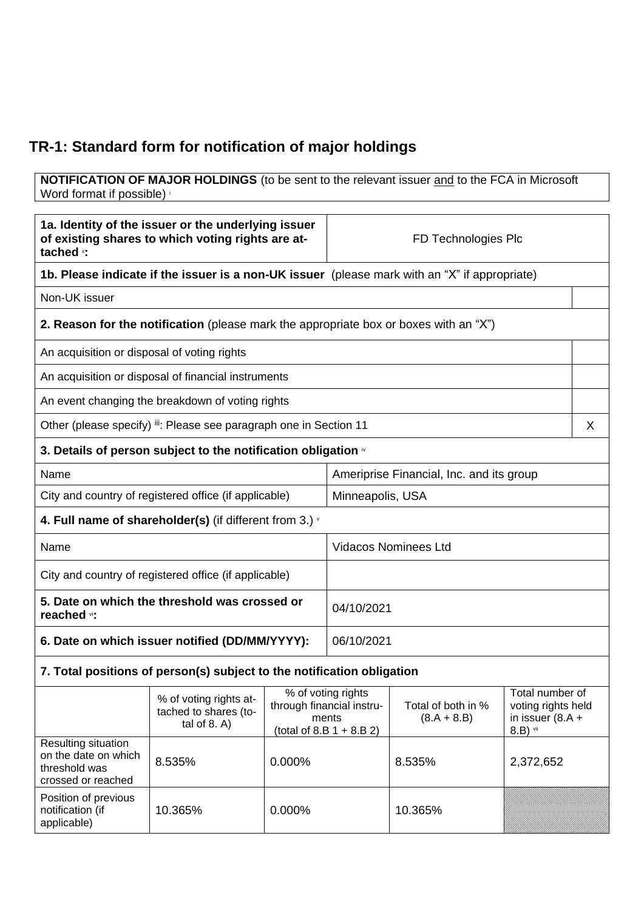## **TR-1: Standard form for notification of major holdings**

**NOTIFICATION OF MAJOR HOLDINGS** (to be sent to the relevant issuer and to the FCA in Microsoft Word format if possible)

| 1a. Identity of the issuer or the underlying issuer<br>of existing shares to which voting rights are at-<br>tached ": |                                                                                       |        | FD Technologies Plc                                                                     |                                     |                                                                         |   |
|-----------------------------------------------------------------------------------------------------------------------|---------------------------------------------------------------------------------------|--------|-----------------------------------------------------------------------------------------|-------------------------------------|-------------------------------------------------------------------------|---|
| 1b. Please indicate if the issuer is a non-UK issuer (please mark with an "X" if appropriate)                         |                                                                                       |        |                                                                                         |                                     |                                                                         |   |
| Non-UK issuer                                                                                                         |                                                                                       |        |                                                                                         |                                     |                                                                         |   |
|                                                                                                                       | 2. Reason for the notification (please mark the appropriate box or boxes with an "X") |        |                                                                                         |                                     |                                                                         |   |
| An acquisition or disposal of voting rights                                                                           |                                                                                       |        |                                                                                         |                                     |                                                                         |   |
|                                                                                                                       | An acquisition or disposal of financial instruments                                   |        |                                                                                         |                                     |                                                                         |   |
|                                                                                                                       | An event changing the breakdown of voting rights                                      |        |                                                                                         |                                     |                                                                         |   |
|                                                                                                                       | Other (please specify) ii: Please see paragraph one in Section 11                     |        |                                                                                         |                                     |                                                                         | X |
|                                                                                                                       | 3. Details of person subject to the notification obligation $\dot{ }$                 |        |                                                                                         |                                     |                                                                         |   |
| Name                                                                                                                  |                                                                                       |        | Ameriprise Financial, Inc. and its group                                                |                                     |                                                                         |   |
| City and country of registered office (if applicable)                                                                 |                                                                                       |        | Minneapolis, USA                                                                        |                                     |                                                                         |   |
|                                                                                                                       | 4. Full name of shareholder(s) (if different from 3.) $\cdot$                         |        |                                                                                         |                                     |                                                                         |   |
| Name                                                                                                                  |                                                                                       |        | <b>Vidacos Nominees Ltd</b>                                                             |                                     |                                                                         |   |
| City and country of registered office (if applicable)                                                                 |                                                                                       |        |                                                                                         |                                     |                                                                         |   |
| 5. Date on which the threshold was crossed or<br>reached vi:                                                          |                                                                                       |        | 04/10/2021                                                                              |                                     |                                                                         |   |
| 6. Date on which issuer notified (DD/MM/YYYY):                                                                        |                                                                                       |        | 06/10/2021                                                                              |                                     |                                                                         |   |
|                                                                                                                       | 7. Total positions of person(s) subject to the notification obligation                |        |                                                                                         |                                     |                                                                         |   |
|                                                                                                                       | % of voting rights at-<br>tached to shares (to-<br>tal of $8. A$ )                    |        | % of voting rights<br>through financial instru-<br>ments<br>(total of 8.B $1 + 8.B 2$ ) | Total of both in %<br>$(8.A + 8.B)$ | Total number of<br>voting rights held<br>in issuer $(8.A +$<br>8.B) vii |   |
| Resulting situation<br>on the date on which<br>threshold was<br>crossed or reached                                    | 8.535%                                                                                | 0.000% |                                                                                         | 8.535%                              | 2,372,652                                                               |   |
| Position of previous<br>notification (if<br>applicable)                                                               | 10.365%                                                                               | 0.000% |                                                                                         | 10.365%                             |                                                                         |   |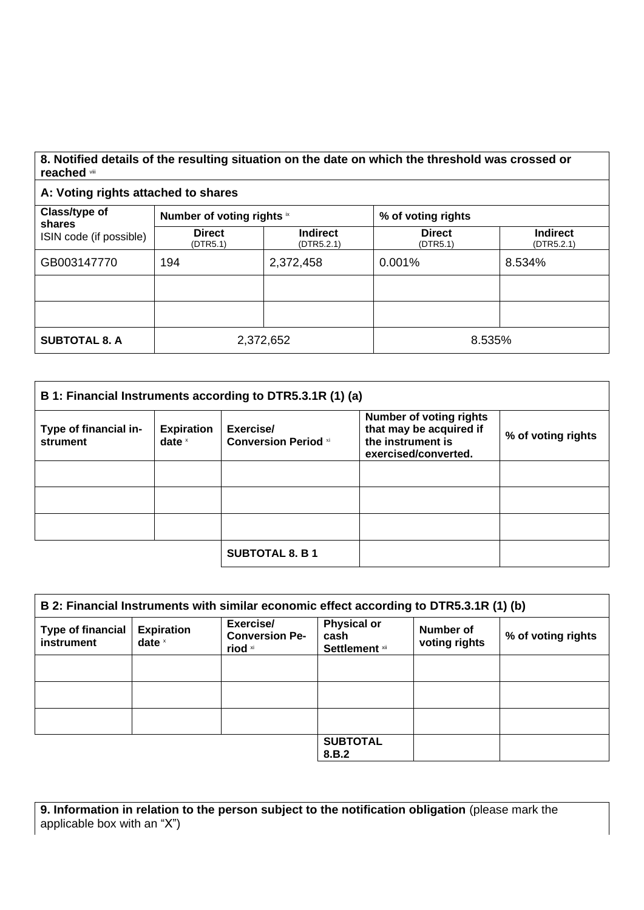## **8. Notified details of the resulting situation on the date on which the threshold was crossed or reached** viii

**A: Voting rights attached to shares**

| Class/type of<br>shares<br>ISIN code (if possible) | Number of voting rights ix |                               | % of voting rights        |                               |
|----------------------------------------------------|----------------------------|-------------------------------|---------------------------|-------------------------------|
|                                                    | <b>Direct</b><br>(DTR5.1)  | <b>Indirect</b><br>(DTR5.2.1) | <b>Direct</b><br>(DTR5.1) | <b>Indirect</b><br>(DTR5.2.1) |
| GB003147770                                        | 194                        | 2,372,458                     | 0.001%                    | 8.534%                        |
|                                                    |                            |                               |                           |                               |
|                                                    |                            |                               |                           |                               |
| <b>SUBTOTAL 8. A</b>                               | 2,372,652                  |                               | 8.535%                    |                               |

| B 1: Financial Instruments according to DTR5.3.1R (1) (a) |                               |                                          |                                                                                                        |                    |
|-----------------------------------------------------------|-------------------------------|------------------------------------------|--------------------------------------------------------------------------------------------------------|--------------------|
| Type of financial in-<br>strument                         | <b>Expiration</b><br>date $x$ | Exercise/<br><b>Conversion Period xi</b> | <b>Number of voting rights</b><br>that may be acquired if<br>the instrument is<br>exercised/converted. | % of voting rights |
|                                                           |                               |                                          |                                                                                                        |                    |
|                                                           |                               |                                          |                                                                                                        |                    |
|                                                           |                               |                                          |                                                                                                        |                    |
|                                                           |                               | <b>SUBTOTAL 8. B 1</b>                   |                                                                                                        |                    |

| B 2: Financial Instruments with similar economic effect according to DTR5.3.1R (1) (b) |                               |                                               |                                                     |                            |                    |
|----------------------------------------------------------------------------------------|-------------------------------|-----------------------------------------------|-----------------------------------------------------|----------------------------|--------------------|
| <b>Type of financial</b><br>instrument                                                 | <b>Expiration</b><br>date $x$ | Exercise/<br><b>Conversion Pe-</b><br>riod xi | <b>Physical or</b><br>cash<br><b>Settlement</b> xii | Number of<br>voting rights | % of voting rights |
|                                                                                        |                               |                                               |                                                     |                            |                    |
|                                                                                        |                               |                                               |                                                     |                            |                    |
|                                                                                        |                               |                                               |                                                     |                            |                    |
|                                                                                        |                               |                                               | <b>SUBTOTAL</b><br>8.B.2                            |                            |                    |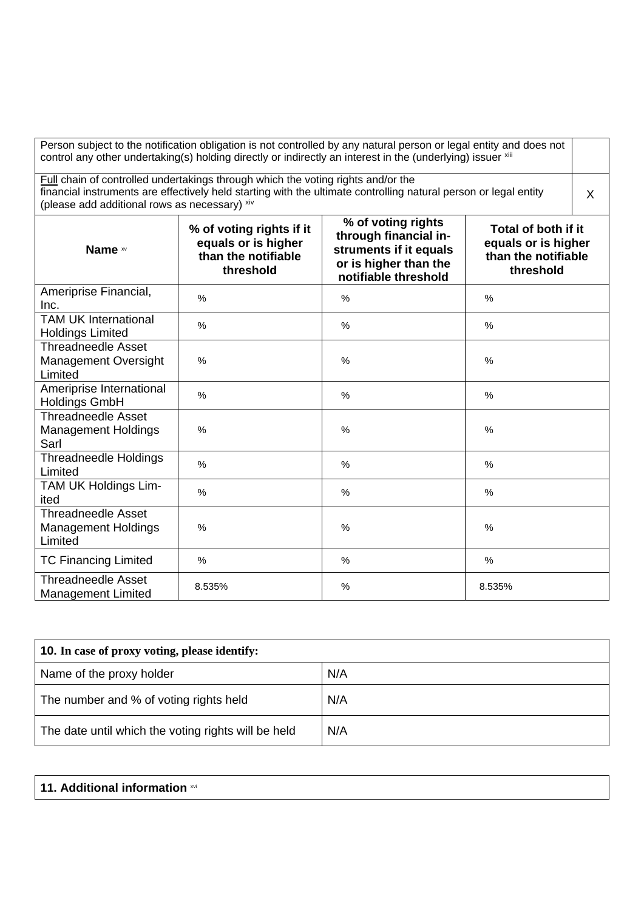| Person subject to the notification obligation is not controlled by any natural person or legal entity and does not<br>control any other undertaking(s) holding directly or indirectly an interest in the (underlying) issuer xill                     |                                                                                     |                                                                                                                        |                                                                                |  |
|-------------------------------------------------------------------------------------------------------------------------------------------------------------------------------------------------------------------------------------------------------|-------------------------------------------------------------------------------------|------------------------------------------------------------------------------------------------------------------------|--------------------------------------------------------------------------------|--|
| Full chain of controlled undertakings through which the voting rights and/or the<br>financial instruments are effectively held starting with the ultimate controlling natural person or legal entity<br>(please add additional rows as necessary) xiv |                                                                                     |                                                                                                                        |                                                                                |  |
| Name xv                                                                                                                                                                                                                                               | % of voting rights if it<br>equals or is higher<br>than the notifiable<br>threshold | % of voting rights<br>through financial in-<br>struments if it equals<br>or is higher than the<br>notifiable threshold | Total of both if it<br>equals or is higher<br>than the notifiable<br>threshold |  |
| Ameriprise Financial,<br>Inc.                                                                                                                                                                                                                         | %                                                                                   | $\%$                                                                                                                   | %                                                                              |  |
| <b>TAM UK International</b><br><b>Holdings Limited</b>                                                                                                                                                                                                | $\%$                                                                                | $\frac{0}{0}$                                                                                                          | %                                                                              |  |
| <b>Threadneedle Asset</b><br><b>Management Oversight</b><br>Limited                                                                                                                                                                                   | $\%$                                                                                | $\frac{0}{0}$                                                                                                          | %                                                                              |  |
| Ameriprise International<br><b>Holdings GmbH</b>                                                                                                                                                                                                      | %                                                                                   | %                                                                                                                      | $\%$                                                                           |  |
| Threadneedle Asset<br><b>Management Holdings</b><br>Sarl                                                                                                                                                                                              | $\%$                                                                                | $\frac{0}{0}$                                                                                                          | %                                                                              |  |
| <b>Threadneedle Holdings</b><br>Limited                                                                                                                                                                                                               | $\%$                                                                                | $\%$                                                                                                                   | $\%$                                                                           |  |
| TAM UK Holdings Lim-<br>ited                                                                                                                                                                                                                          | %                                                                                   | %                                                                                                                      | $\%$                                                                           |  |
| <b>Threadneedle Asset</b><br><b>Management Holdings</b><br>Limited                                                                                                                                                                                    | %                                                                                   | $\%$                                                                                                                   | $\%$                                                                           |  |
| <b>TC Financing Limited</b>                                                                                                                                                                                                                           | %                                                                                   | $\%$                                                                                                                   | %                                                                              |  |
| <b>Threadneedle Asset</b><br><b>Management Limited</b>                                                                                                                                                                                                | 8.535%                                                                              | %                                                                                                                      | 8.535%                                                                         |  |

| <b>10.</b> In case of proxy voting, please identify: |     |  |
|------------------------------------------------------|-----|--|
| Name of the proxy holder                             | N/A |  |
| The number and % of voting rights held               | N/A |  |
| The date until which the voting rights will be held  | N/A |  |

## **11. Additional information** xvi